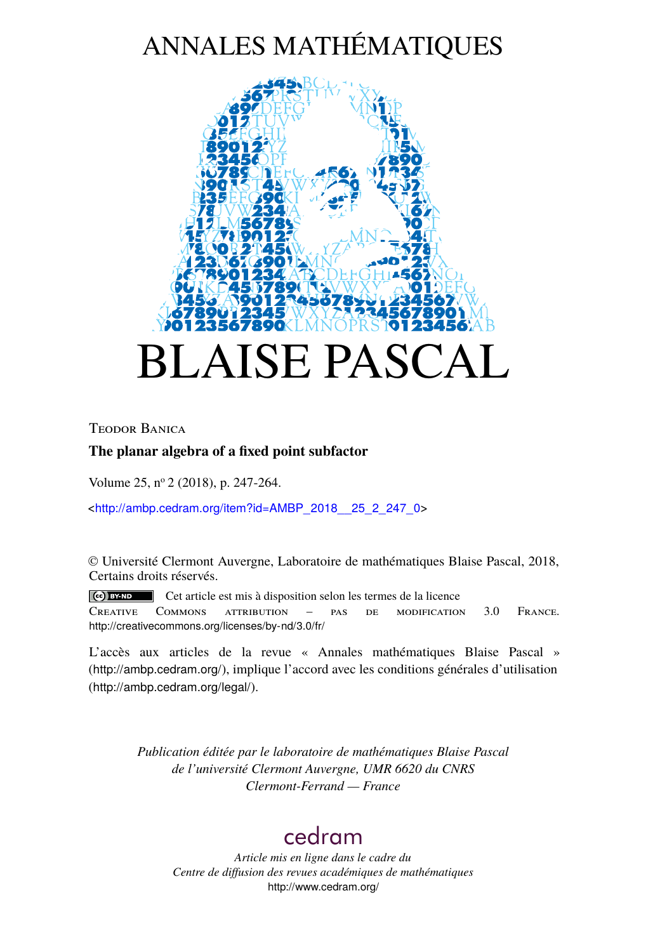# ANNALES MATHÉMATIQUES



Teodor Banica

## **The planar algebra of a fixed point subfactor**

Volume 25, n<sup>o</sup> 2 (2018), p. 247-264.

<[http://ambp.cedram.org/item?id=AMBP\\_2018\\_\\_25\\_2\\_247\\_0](http://ambp.cedram.org/item?id=AMBP_2018__25_2_247_0)>

© Université Clermont Auvergne, Laboratoire de mathématiques Blaise Pascal, 2018, Certains droits réservés.

Cet article est mis à disposition selon les termes de la licence Creative Commons attribution – pas de modification 3.0 France. <http://creativecommons.org/licenses/by-nd/3.0/fr/>

L'accès aux articles de la revue « Annales mathématiques Blaise Pascal » (<http://ambp.cedram.org/>), implique l'accord avec les conditions générales d'utilisation (<http://ambp.cedram.org/legal/>).

> *Publication éditée par le laboratoire de mathématiques Blaise Pascal de l'université Clermont Auvergne, UMR 6620 du CNRS Clermont-Ferrand — France*

## [cedram](http://www.cedram.org/)

*Article mis en ligne dans le cadre du Centre de diffusion des revues académiques de mathématiques* <http://www.cedram.org/>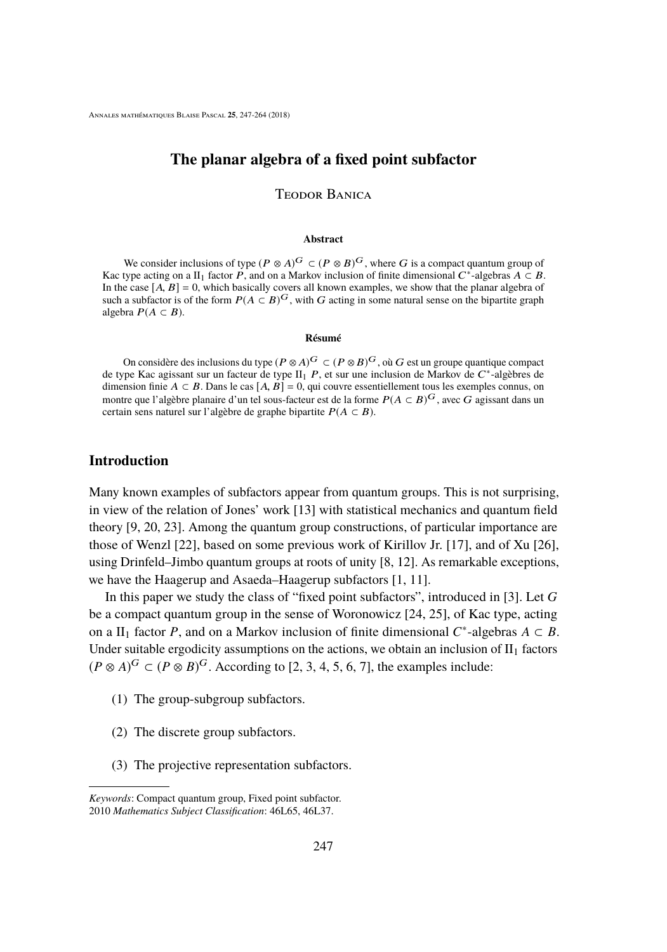## **The planar algebra of a fixed point subfactor**

Teodor Banica

#### **Abstract**

We consider inclusions of type  $(P \otimes A)^G \subset (P \otimes B)^G$ , where G is a compact quantum group of Kac type acting on a II<sub>1</sub> factor  $\vec{P}$ , and on a Markov inclusion of finite dimensional  $C^*$ -algebras  $A \subset B$ . In the case  $[A, B] = 0$ , which basically covers all known examples, we show that the planar algebra of such a subfactor is of the form  $P(A \subset B)^G$ , with G acting in some natural sense on the bipartite graph algebra  $P(A ⊂ B)$ .

#### **Résumé**

On considère des inclusions du type  $(P \otimes A)^G \subset (P \otimes B)^G$ , où G est un groupe quantique compact de type Kac agissant sur un facteur de type  $II_1$  *P*, et sur une inclusion de Markov de  $C^*$ -algèbres de dimension finie  $A \subset B$ . Dans le cas  $[A, B] = 0$ , qui couvre essentiellement tous les exemples connus, on montre que l'algèbre planaire d'un tel sous-facteur est de la forme  $P(A \subset B)^G$ , avec G agissant dans un certain sens naturel sur l'algèbre de graphe bipartite  $P(A \subset B)$ .

#### **Introduction**

Many known examples of subfactors appear from quantum groups. This is not surprising, in view of the relation of Jones' work [\[13\]](#page-17-0) with statistical mechanics and quantum field theory [\[9,](#page-16-0) [20,](#page-17-1) [23\]](#page-18-0). Among the quantum group constructions, of particular importance are those of Wenzl [\[22\]](#page-17-2), based on some previous work of Kirillov Jr. [\[17\]](#page-17-3), and of Xu [\[26\]](#page-18-1), using Drinfeld–Jimbo quantum groups at roots of unity [\[8,](#page-16-1) [12\]](#page-17-4). As remarkable exceptions, we have the Haagerup and Asaeda–Haagerup subfactors [\[1,](#page-16-2) [11\]](#page-17-5).

In this paper we study the class of "fixed point subfactors", introduced in [\[3\]](#page-16-3). Let *G* be a compact quantum group in the sense of Woronowicz [\[24,](#page-18-2) [25\]](#page-18-3), of Kac type, acting on a II<sub>1</sub> factor *P*, and on a Markov inclusion of finite dimensional  $C^*$ -algebras  $A \subset B$ . Under suitable ergodicity assumptions on the actions, we obtain an inclusion of  $II_1$  factors  $(P \otimes A)^G \subset (P \otimes B)^G$ . According to [\[2,](#page-16-4) [3,](#page-16-3) [4,](#page-16-5) [5,](#page-16-6) [6,](#page-16-7) [7\]](#page-16-8), the examples include:

- <span id="page-1-0"></span>(1) The group-subgroup subfactors.
- (2) The discrete group subfactors.
- (3) The projective representation subfactors.

Keywords: Compact quantum group, Fixed point subfactor. 2010 Mathematics Subject Classification: 46L65, 46L37.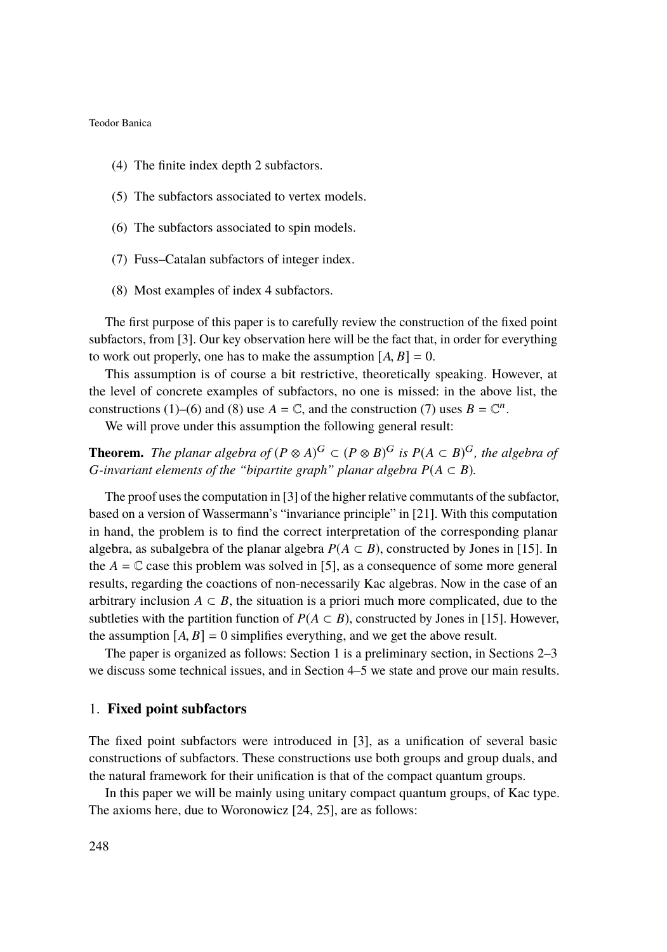- (4) The finite index depth 2 subfactors.
- (5) The subfactors associated to vertex models.
- <span id="page-2-0"></span>(6) The subfactors associated to spin models.
- <span id="page-2-2"></span>(7) Fuss–Catalan subfactors of integer index.
- <span id="page-2-1"></span>(8) Most examples of index 4 subfactors.

The first purpose of this paper is to carefully review the construction of the fixed point subfactors, from [\[3\]](#page-16-3). Our key observation here will be the fact that, in order for everything to work out properly, one has to make the assumption  $[A, B] = 0$ .

This assumption is of course a bit restrictive, theoretically speaking. However, at the level of concrete examples of subfactors, no one is missed: in the above list, the constructions [\(1\)](#page-1-0)–[\(6\)](#page-2-0) and [\(8\)](#page-2-1) use  $A = \mathbb{C}$ , and the construction [\(7\)](#page-2-2) uses  $B = \mathbb{C}^n$ .

We will prove under this assumption the following general result:

**Theorem.** *The planar algebra of*  $(P \otimes A)^G \subset (P \otimes B)^G$  *is*  $P(A \subset B)^G$ *, the algebra of G*-invariant elements of the "bipartite graph" planar algebra  $P(A \subset B)$ .

The proof uses the computation in [\[3\]](#page-16-3) of the higher relative commutants of the subfactor, based on a version of Wassermann's "invariance principle" in [\[21\]](#page-17-6). With this computation in hand, the problem is to find the correct interpretation of the corresponding planar algebra, as subalgebra of the planar algebra  $P(A \subset B)$ , constructed by Jones in [\[15\]](#page-17-7). In the  $A = \mathbb{C}$  case this problem was solved in [\[5\]](#page-16-6), as a consequence of some more general results, regarding the coactions of non-necessarily Kac algebras. Now in the case of an arbitrary inclusion  $A \subset B$ , the situation is a priori much more complicated, due to the subtleties with the partition function of  $P(A \subset B)$ , constructed by Jones in [\[15\]](#page-17-7). However, the assumption  $[A, B] = 0$  simplifies everything, and we get the above result.

The paper is organized as follows: Section [1](#page-2-3) is a preliminary section, in Sections [2](#page-5-0)[–3](#page-7-0) we discuss some technical issues, and in Section [4–](#page-10-0)[5](#page-13-0) we state and prove our main results.

#### <span id="page-2-3"></span>1. **Fixed point subfactors**

The fixed point subfactors were introduced in [\[3\]](#page-16-3), as a unification of several basic constructions of subfactors. These constructions use both groups and group duals, and the natural framework for their unification is that of the compact quantum groups.

In this paper we will be mainly using unitary compact quantum groups, of Kac type. The axioms here, due to Woronowicz [\[24,](#page-18-2) [25\]](#page-18-3), are as follows: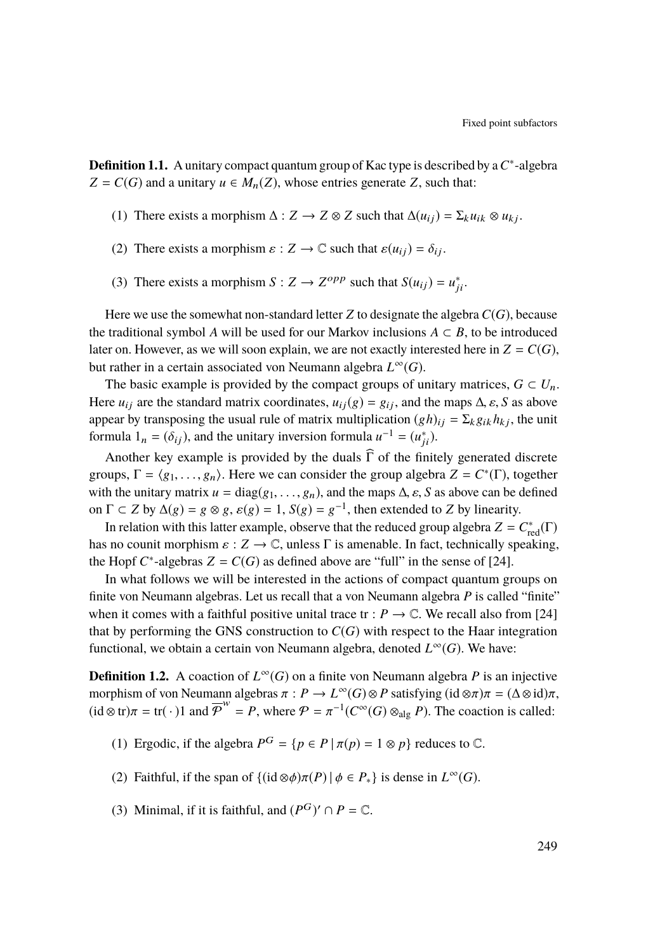**Definition 1.1.** A unitary compact quantum group of Kac type is described by a*C* ∗ -algebra *Z* = *C*(*G*) and a unitary *u*  $\in M_n(Z)$ , whose entries generate *Z*, such that:

- (1) There exists a morphism  $\Delta : Z \to Z \otimes Z$  such that  $\Delta(u_{ij}) = \Sigma_k u_{ik} \otimes u_{kj}$ .
- (2) There exists a morphism  $\varepsilon$  :  $Z \to \mathbb{C}$  such that  $\varepsilon(u_{ij}) = \delta_{ij}$ .
- (3) There exists a morphism  $S: Z \to Z^{opp}$  such that  $S(u_{ij}) = u_{ji}^*$ .

Here we use the somewhat non-standard letter  $Z$  to designate the algebra  $C(G)$ , because the traditional symbol *A* will be used for our Markov inclusions  $A \subset B$ , to be introduced later on. However, as we will soon explain, we are not exactly interested here in  $Z = C(G)$ , but rather in a certain associated von Neumann algebra *L* <sup>∞</sup>(*G*).

The basic example is provided by the compact groups of unitary matrices,  $G \subset U_n$ . Here  $u_{ij}$  are the standard matrix coordinates,  $u_{ij}(g) = g_{ij}$ , and the maps  $\Delta$ ,  $\varepsilon$ , *S* as above appear by transposing the usual rule of matrix multiplication  $(gh)_{ij} = \sum_k g_{ik} h_{kj}$ , the unit formula  $1_n = (\delta_{ij})$ , and the unitary inversion formula  $u^{-1} = (u_{ji}^*)$ .

Another key example is provided by the duals  $\widehat{\Gamma}$  of the finitely generated discrete groups,  $\Gamma = \langle g_1, \ldots, g_n \rangle$ . Here we can consider the group algebra  $Z = C^*(\Gamma)$ , together with the unitary matrix  $u = diag(g_1, \ldots, g_n)$ , and the maps  $\Delta$ ,  $\varepsilon$ ,  $S$  as above can be defined on  $\Gamma \subset Z$  by  $\Delta(g) = g \otimes g$ ,  $\varepsilon(g) = 1$ ,  $S(g) = g^{-1}$ , then extended to *Z* by linearity.

In relation with this latter example, observe that the reduced group algebra  $Z = C_{\text{red}}^*(\Gamma)$ has no counit morphism  $\varepsilon : Z \to \mathbb{C}$ , unless  $\Gamma$  is amenable. In fact, technically speaking, the Hopf  $C^*$ -algebras  $Z = C(G)$  as defined above are "full" in the sense of [\[24\]](#page-18-2).

In what follows we will be interested in the actions of compact quantum groups on finite von Neumann algebras. Let us recall that a von Neumann algebra *P* is called "finite" when it comes with a faithful positive unital trace tr :  $P \to \mathbb{C}$ . We recall also from [\[24\]](#page-18-2) that by performing the GNS construction to  $C(G)$  with respect to the Haar integration functional, we obtain a certain von Neumann algebra, denoted *L* <sup>∞</sup>(*G*). We have:

**Definition 1.2.** A coaction of  $L^{\infty}(G)$  on a finite von Neumann algebra P is an injective morphism of von Neumann algebras  $\pi : P \to L^{\infty}(G) \otimes P$  satisfying  $(id \otimes \pi)\pi = (\Delta \otimes id)\pi$ ,<br>(id  $\otimes tr\pi = tr(.)1$  and  $\overline{\Phi}^{w} = P$ , where  $\mathcal{D} = \pi^{-1}(C^{\infty}(G) \otimes P)$ . The conotion is called:  $(id \otimes tr)\pi = tr(\cdot)1$  and  $\overline{\mathcal{P}}^W = P$ , where  $\mathcal{P} = \pi^{-1}(C^{\infty}(G) \otimes_{\text{alg}} P)$ . The coaction is called:

- (1) Ergodic, if the algebra  $P^G = \{p \in P \mid \pi(p) = 1 \otimes p\}$  reduces to  $\mathbb{C}$ .
- (2) Faithful, if the span of  $\{(\text{id} \otimes \phi)\pi(P) | \phi \in P_*\}$  is dense in  $L^{\infty}(G)$ .
- (3) Minimal, if it is faithful, and  $(P^G)' \cap P = \mathbb{C}$ .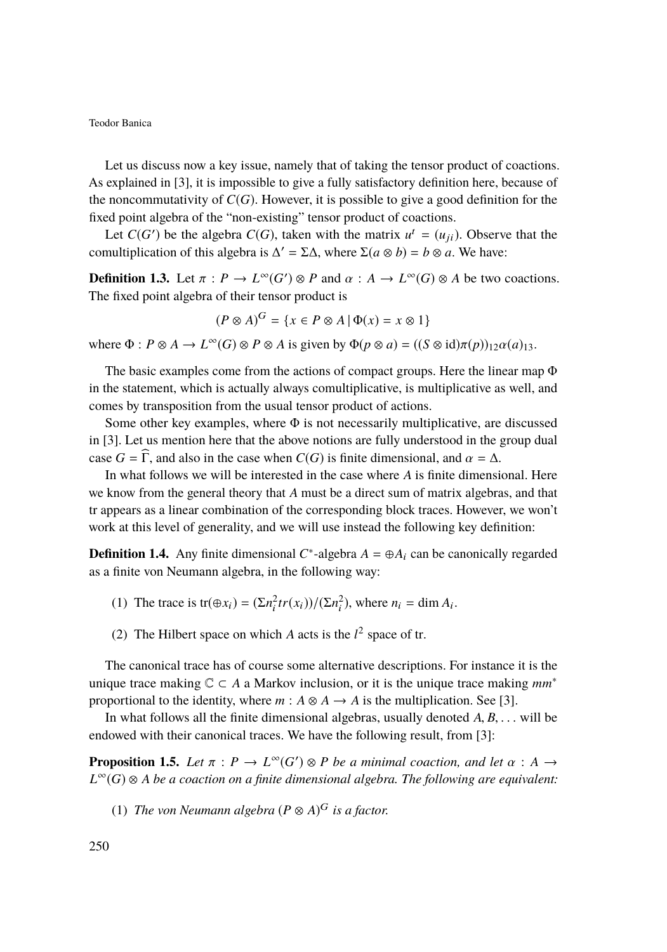Let us discuss now a key issue, namely that of taking the tensor product of coactions. As explained in [\[3\]](#page-16-3), it is impossible to give a fully satisfactory definition here, because of the noncommutativity of *C*(*G*). However, it is possible to give a good definition for the fixed point algebra of the "non-existing" tensor product of coactions.

Let  $C(G')$  be the algebra  $C(G)$ , taken with the matrix  $u^t = (u_{ji})$ . Observe that the comultiplication of this algebra is  $\Delta' = \Sigma \Delta$ , where  $\Sigma(a \otimes b) = b \otimes a$ . We have:

**Definition 1.3.** Let  $\pi$  :  $P \to L^{\infty}(G') \otimes P$  and  $\alpha$  :  $A \to L^{\infty}(G) \otimes A$  be two coactions.<br>The fixed point algebra of their tensor product is The fixed point algebra of their tensor product is

$$
(P \otimes A)^G = \{ x \in P \otimes A \mid \Phi(x) = x \otimes 1 \}
$$

where  $\Phi$  :  $P \otimes A \to L^{\infty}(G) \otimes P \otimes A$  is given by  $\Phi(p \otimes a) = ((S \otimes id)\pi(p))_{12}\alpha(a)_{13}$ .

The basic examples come from the actions of compact groups. Here the linear map Φ in the statement, which is actually always comultiplicative, is multiplicative as well, and comes by transposition from the usual tensor product of actions.

Some other key examples, where  $\Phi$  is not necessarily multiplicative, are discussed in [\[3\]](#page-16-3). Let us mention here that the above notions are fully understood in the group dual case  $G = \overline{\Gamma}$ , and also in the case when  $C(G)$  is finite dimensional, and  $\alpha = \Delta$ .

In what follows we will be interested in the case where *A* is finite dimensional. Here we know from the general theory that *A* must be a direct sum of matrix algebras, and that tr appears as a linear combination of the corresponding block traces. However, we won't work at this level of generality, and we will use instead the following key definition:

**Definition 1.4.** Any finite dimensional  $C^*$ -algebra  $A = \bigoplus A_i$  can be canonically regarded as a finite von Neumann algebra, in the following way:

- (1) The trace is  $tr(\bigoplus x_i) = \frac{\sum n_i^2 tr(x_i)}{\sum n_i^2}$ , where  $n_i = \dim A_i$ .
- (2) The Hilbert space on which *A* acts is the  $l^2$  space of tr.

The canonical trace has of course some alternative descriptions. For instance it is the unique trace making  $\mathbb{C} \subset A$  a Markov inclusion, or it is the unique trace making  $mm^*$ proportional to the identity, where  $m : A \otimes A \rightarrow A$  is the multiplication. See [\[3\]](#page-16-3).

In what follows all the finite dimensional algebras, usually denoted *<sup>A</sup>*, *<sup>B</sup>*, . . . will be endowed with their canonical traces. We have the following result, from [\[3\]](#page-16-3):

**Proposition 1.5.** *Let*  $\pi$  :  $P \to L^{\infty}(G') \otimes P$  *be a minimal coaction, and let*  $\alpha$  :  $A \to L^{\infty}(G) \otimes A$  *be a gogation on a finite dimensional algebra. The following are equivalent L* <sup>∞</sup>(*G*) ⊗ *A be a coaction on a finite dimensional algebra. The following are equivalent:*

(1) *The von Neumann algebra*  $(P \otimes A)^G$  *is a factor.*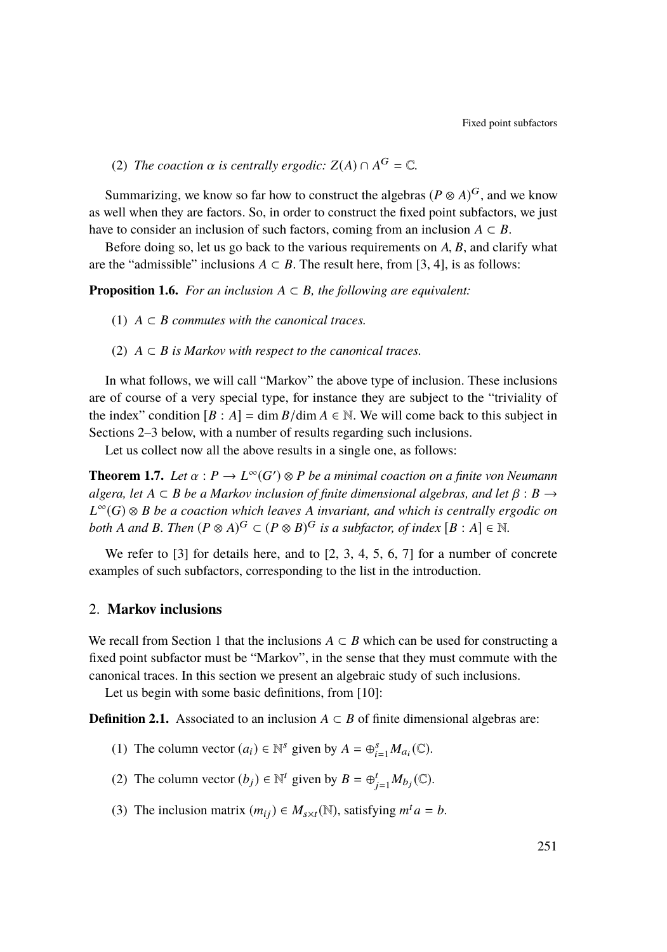(2) *The coaction*  $\alpha$  *is centrally ergodic:*  $Z(A) \cap A^G = \mathbb{C}$ *.* 

Summarizing, we know so far how to construct the algebras ( $P \otimes A$ )<sup>G</sup>, and we know as well when they are factors. So, in order to construct the fixed point subfactors, we just have to consider an inclusion of such factors, coming from an inclusion  $A \subset B$ .

Before doing so, let us go back to the various requirements on *<sup>A</sup>*, *<sup>B</sup>*, and clarify what are the "admissible" inclusions  $A \subset B$ . The result here, from [\[3,](#page-16-3) [4\]](#page-16-5), is as follows:

**Proposition 1.6.** *For an inclusion*  $A \subset B$ *, the following are equivalent:* 

- (1)  $A \subseteq B$  *commutes with the canonical traces.*
- (2)  $A \subset B$  *is Markov with respect to the canonical traces.*

In what follows, we will call "Markov" the above type of inclusion. These inclusions are of course of a very special type, for instance they are subject to the "triviality of the index" condition  $[B : A] = \dim B/\dim A \in \mathbb{N}$ . We will come back to this subject in Sections [2–](#page-5-0)[3](#page-7-0) below, with a number of results regarding such inclusions.

Let us collect now all the above results in a single one, as follows:

**Theorem 1.7.** *Let*  $\alpha$  :  $P \to L^{\infty}(G') \otimes P$  *be a minimal coaction on a finite von Neumann*<br>glasses, let  $A \subseteq P$  be a Markov inclusion of finite dimensional glashras, and let  $B \to P$ . *algera, let*  $A \subseteq B$  *be a Markov inclusion of finite dimensional algebras, and let*  $\beta : B \rightarrow$ *L* <sup>∞</sup>(*G*) ⊗ *B be a coaction which leaves A invariant, and which is centrally ergodic on both A* and *B. Then*  $(P \otimes A)^G \subset (P \otimes B)^G$  *is a subfactor, of index*  $[B : A] \in \mathbb{N}$ *.* 

We refer to [\[3\]](#page-16-3) for details here, and to [\[2,](#page-16-4) [3,](#page-16-3) [4,](#page-16-5) [5,](#page-16-6) [6,](#page-16-7) [7\]](#page-16-8) for a number of concrete examples of such subfactors, corresponding to the list in the introduction.

## <span id="page-5-0"></span>2. **Markov inclusions**

We recall from Section [1](#page-2-3) that the inclusions  $A \subset B$  which can be used for constructing a fixed point subfactor must be "Markov", in the sense that they must commute with the canonical traces. In this section we present an algebraic study of such inclusions.

Let us begin with some basic definitions, from [\[10\]](#page-17-8):

<span id="page-5-1"></span>**Definition 2.1.** Associated to an inclusion  $A \subset B$  of finite dimensional algebras are:

- (1) The column vector  $(a_i) \in \mathbb{N}^s$  given by  $A = \bigoplus_{i=1}^s M_{a_i}(\mathbb{C})$ .
- (2) The column vector  $(b_j) \in \mathbb{N}^t$  given by  $B = \bigoplus_{j=1}^t M_{b_j}(\mathbb{C})$ .
- (3) The inclusion matrix  $(m_{ij}) \in M_{s \times t}(\mathbb{N})$ , satisfying  $m^t a = b$ .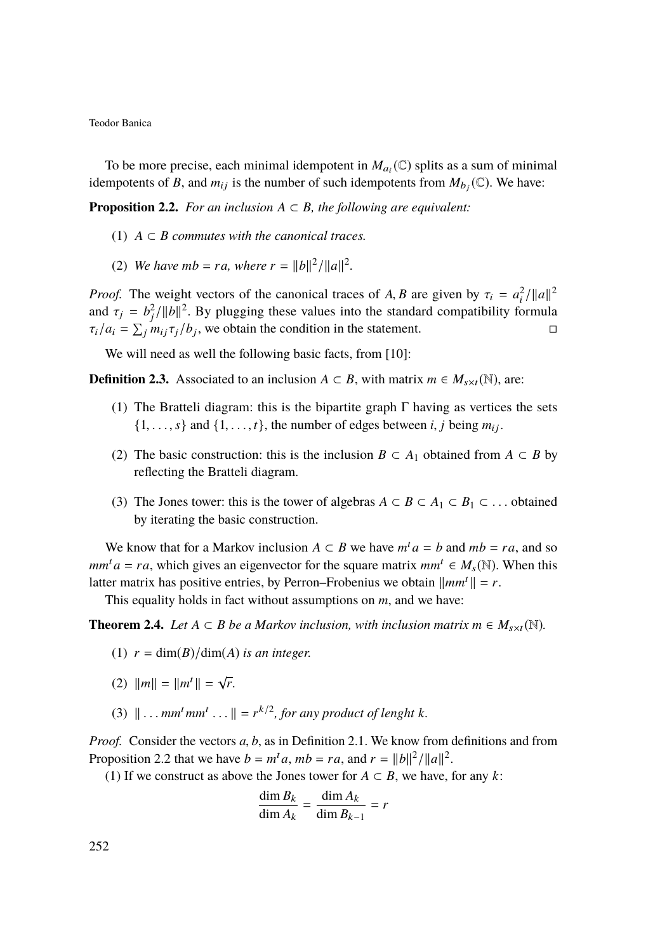To be more precise, each minimal idempotent in  $M_{a_i}(\mathbb{C})$  splits as a sum of minimal idempotents of *B*, and  $m_{ij}$  is the number of such idempotents from  $M_{b_j}(\mathbb{C})$ . We have:

<span id="page-6-0"></span>**Proposition 2.2.** *For an inclusion*  $A \subset B$ *, the following are equivalent:* 

- (1)  $A \subset B$  *commutes with the canonical traces.*
- (2) *We have mb = ra, where*  $r = ||b||^2/||a||^2$ .

*Proof.* The weight vectors of the canonical traces of *A*, *B* are given by  $\tau_i = a_i^2 / ||a||^2$ <br>and  $\tau_i = h^2 / ||b||^2$ . By plugging these values into the standard compatibility formula and  $\tau_j = b_j^2 / ||b||^2$ . By plugging these values into the standard compatibility formula<br> $\tau_j / a_j = \sum_{j} m_j \tau_j / b_j$ , we obtain the condition in the statement  $\tau_i/a_i = \sum_j m_{ij} \tau_j/b_j$ , we obtain the condition in the statement.

We will need as well the following basic facts, from [\[10\]](#page-17-8):

<span id="page-6-4"></span>**Definition 2.3.** Associated to an inclusion *A* ⊂ *B*, with matrix *m* ∈  $M_{s \times t}(\mathbb{N})$ , are:

- (1) The Bratteli diagram: this is the bipartite graph  $\Gamma$  having as vertices the sets  $\{1, \ldots, s\}$  and  $\{1, \ldots, t\}$ , the number of edges between *i*, *j* being  $m_{ij}$ .
- (2) The basic construction: this is the inclusion  $B \subset A_1$  obtained from  $A \subset B$  by reflecting the Bratteli diagram.
- (3) The Jones tower: this is the tower of algebras  $A \subset B \subset A_1 \subset B_1 \subset \dots$  obtained by iterating the basic construction.

We know that for a Markov inclusion  $A \subset B$  we have  $m^t a = b$  and  $mb = ra$ , and so  $mm^t a = ra$ , which gives an eigenvector for the square matrix  $mm^t \in M_s(\mathbb{N})$ . When this latter matrix has positive entries, by Perron–Frobenius we obtain  $\|mm'\| = r$ .

This equality holds in fact without assumptions on *m*, and we have:

<span id="page-6-1"></span>**Theorem 2.4.** *Let A* ⊂ *B be a Markov inclusion, with inclusion matrix m* ∈ *M*<sub>s×t</sub>( $\mathbb{N}$ ).

- (1)  $r = \dim(B)/\dim(A)$  *is an integer.*
- <span id="page-6-2"></span>(2)  $\|m\| = \|m^t\| = \sqrt{r}$ .
- <span id="page-6-3"></span>(3)  $\|\ldots \textit{mm}^t \textit{mm}^t \ldots\| = r^{k/2}$ , for any product of lenght *k*.

*Proof.* Consider the vectors *<sup>a</sup>*, *<sup>b</sup>*, as in Definition [2.1.](#page-5-1) We know from definitions and from Proposition [2.2](#page-6-0) that we have  $b = m^t a$ ,  $mb = ra$ , and  $r = ||b||^2/||a||^2$ .

[\(1\)](#page-6-1) If we construct as above the Jones tower for  $A \subset B$ , we have, for any *k*:

$$
\frac{\dim B_k}{\dim A_k} = \frac{\dim A_k}{\dim B_{k-1}} = r
$$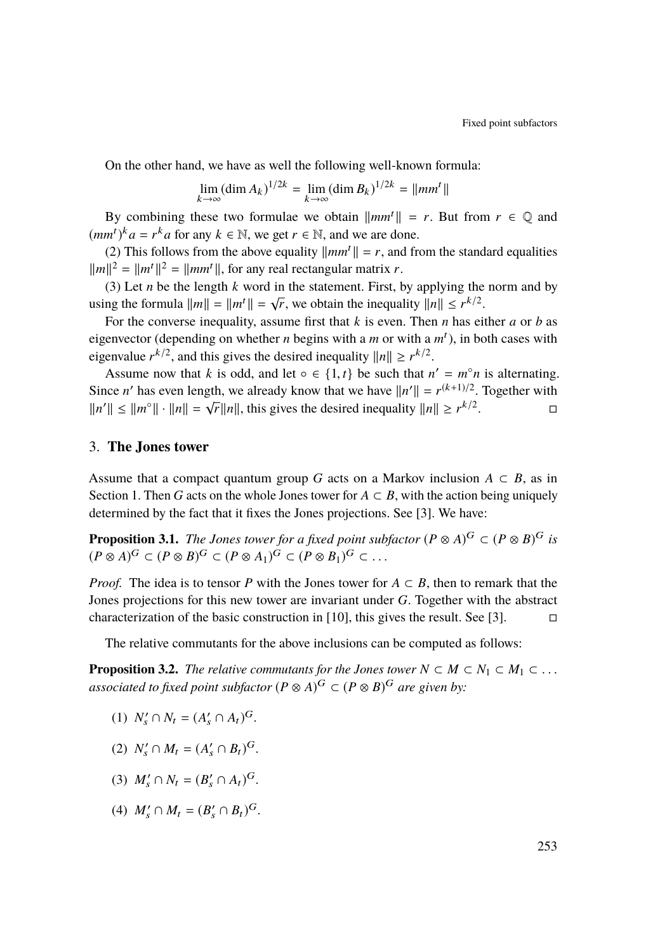On the other hand, we have as well the following well-known formula:

$$
\lim_{k \to \infty} (\dim A_k)^{1/2k} = \lim_{k \to \infty} (\dim B_k)^{1/2k} = ||mm^t||
$$

By combining these two formulae we obtain  $\|mm'\| = r$ . But from  $r \in \mathbb{Q}$  and  $(mm^t)^k a = r^k a$  for any  $k \in \mathbb{N}$ , we get  $r \in \mathbb{N}$ , and we are done.

[\(2\)](#page-6-2) This follows from the above equality  $\|mm'\| = r$ , and from the standard equalities  $\|m\|^2 = \|m^t\|^2 = \|mm^t\|$ , for any real rectangular matrix *r*.

[\(3\)](#page-6-3) Let *n* be the length *k* word in the statement. First, by applying the norm and by using the formula  $||m|| = ||m^t|| = \sqrt{r}$ , we obtain the inequality  $||n|| \le r^{k/2}$ .

For the converse inequality, assume first that *k* is even. Then *n* has either *a* or *b* as eigenvector (depending on whether *n* begins with a *m* or with a  $m<sup>t</sup>$ ), in both cases with eigenvalue  $r^{k/2}$ , and this gives the desired inequality  $||n|| \ge r^{k/2}$ .

Assume now that *k* is odd, and let ∘ ∈ {1, *t*} be such that  $n' = m^{\circ}n$  is alternating. Since *n'* has even length, we already know that we have  $||n'|| = r^{(k+1)/2}$ . Together with Since *h* has even length, we arready know that we have  $||h|| = r$ <br> $||h|| \le ||m^{\circ}|| \cdot ||n|| = \sqrt{r} ||n||$ , this gives the desired inequality  $||n|| \ge r^{k/2}$ .

#### <span id="page-7-0"></span>3. **The Jones tower**

Assume that a compact quantum group *G* acts on a Markov inclusion  $A \subset B$ , as in Section [1.](#page-2-3) Then *G* acts on the whole Jones tower for  $A \subset B$ , with the action being uniquely determined by the fact that it fixes the Jones projections. See [\[3\]](#page-16-3). We have:

**Proposition 3.1.** *The Jones tower for a fixed point subfactor*  $(P \otimes A)^G \subset (P \otimes B)^G$  *is*  $(P \otimes A)^G \subset (P \otimes B)^G \subset (P \otimes A_1)^G \subset (P \otimes B_1)^G \subset \dots$ 

*Proof.* The idea is to tensor *P* with the Jones tower for  $A \subset B$ , then to remark that the Jones projections for this new tower are invariant under *G*. Together with the abstract characterization of the basic construction in [\[10\]](#page-17-8), this gives the result. See [\[3\]](#page-16-3).  $\square$ 

The relative commutants for the above inclusions can be computed as follows:

<span id="page-7-1"></span>**Proposition 3.2.** *The relative commutants for the Jones tower*  $N \subset M \subset N_1 \subset M_1 \subset \ldots$ associated to fixed point subfactor  $(P \otimes A)^G \subset (P \otimes B)^G$  are given by:

- (1)  $N'_s \cap N_t = (A'_s \cap A_t)^G$ .
- (2)  $N'_s \cap M_t = (A'_s \cap B_t)^G$ .
- (3)  $M'_s \cap N_t = (B'_s \cap A_t)^G$ .
- (4)  $M'_s \cap M_t = (B'_s \cap B_t)^G$ .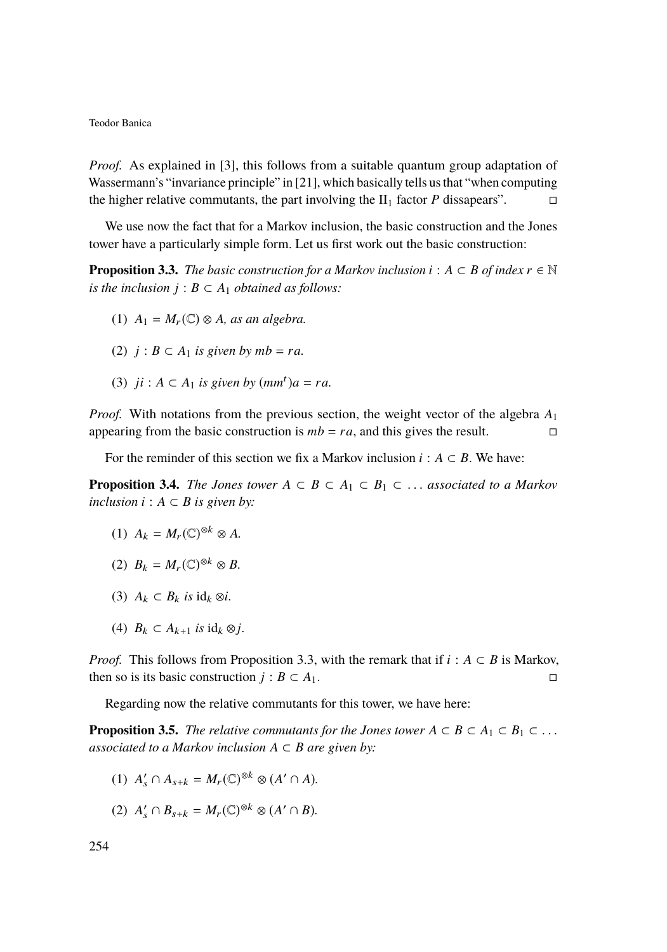*Proof.* As explained in [\[3\]](#page-16-3), this follows from a suitable quantum group adaptation of Wassermann's "invariance principle" in [\[21\]](#page-17-6), which basically tells us that "when computing the higher relative commutants, the part involving the  $II_1$  factor *P* dissapears".

We use now the fact that for a Markov inclusion, the basic construction and the Jones tower have a particularly simple form. Let us first work out the basic construction:

<span id="page-8-0"></span>**Proposition 3.3.** *The basic construction for a Markov inclusion*  $i : A \subset B$  *of index*  $r \in \mathbb{N}$ *is the inclusion*  $j : B \subset A_1$  *obtained as follows:* 

- (1)  $A_1 = M_r(\mathbb{C}) \otimes A$ *, as an algebra.*
- (2)  $j: B \subset A_1$  *is given by mb = ra.*
- (3)  $ji: A \subset A_1$  *is given by*  $(mm^t)a = ra$ .

*Proof.* With notations from the previous section, the weight vector of the algebra *A*<sup>1</sup> appearing from the basic construction is  $mb = ra$ , and this gives the result.

For the reminder of this section we fix a Markov inclusion  $i : A \subset B$ . We have:

<span id="page-8-3"></span>**Proposition 3.4.** *The Jones tower*  $A \subset B \subset A_1 \subset B_1 \subset \ldots$  *associated to a Markov inclusion*  $i$  :  $A ⊂ B$  *is given by:* 

- (1)  $A_k = M_r(\mathbb{C})^{\otimes k} \otimes A$ .
- (2)  $B_k = M_r(\mathbb{C})^{\otimes k} \otimes B$ .
- (3)  $A_k \subset B_k$  *is*  $\text{id}_k \otimes i$ .
- (4)  $B_k \subset A_{k+1}$  *is*  $\text{id}_k \otimes j$ .

*Proof.* This follows from Proposition [3.3,](#page-8-0) with the remark that if *i* :  $A \subset B$  is Markov, then so is its basic construction *j* : *B* ⊂ *A*<sub>1</sub>.  $□$ 

Regarding now the relative commutants for this tower, we have here:

<span id="page-8-4"></span>**Proposition 3.5.** *The relative commutants for the Jones tower*  $A \subset B \subset A_1 \subset B_1 \subset \ldots$ *associated to a Markov inclusion*  $A \subset B$  *are given by:* 

- <span id="page-8-1"></span>(1)  $A'_{s} \cap A_{s+k} = M_{r}(\mathbb{C})^{\otimes k} \otimes (A' \cap A)$ *.*
- <span id="page-8-2"></span>(2)  $A'_{s} \cap B_{s+k} = M_{r}(\mathbb{C})^{\otimes k} \otimes (A' \cap B)$ .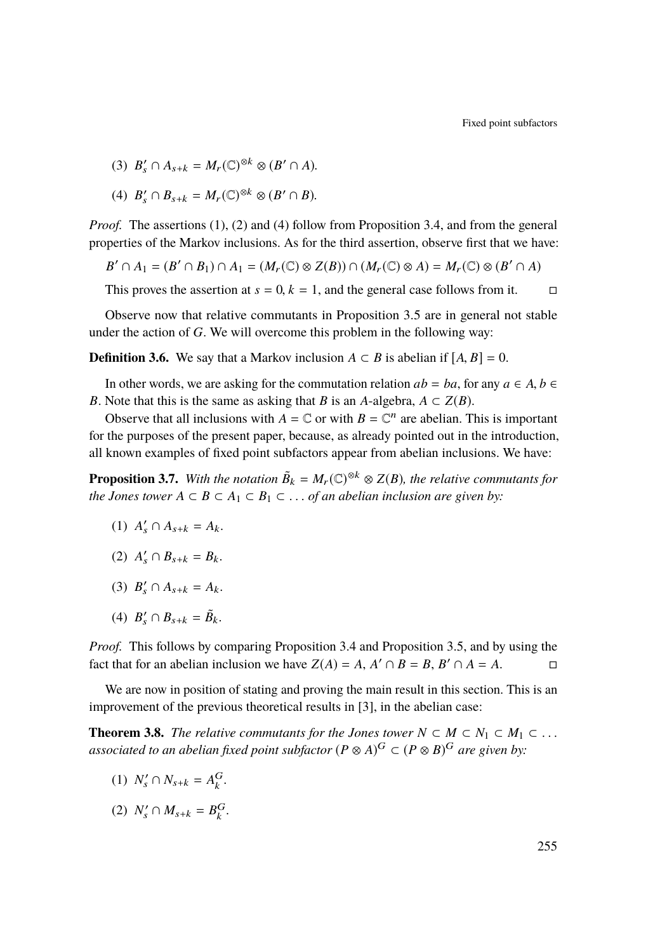Fixed point subfactors

(3)  $B'_s \cap A_{s+k} = M_r(\mathbb{C})^{\otimes k} \otimes (B' \cap A)$ .

<span id="page-9-0"></span>(4) 
$$
B'_s \cap B_{s+k} = M_r(\mathbb{C})^{\otimes k} \otimes (B' \cap B)
$$
.

*Proof.* The assertions [\(1\)](#page-8-1), [\(2\)](#page-8-2) and [\(4\)](#page-9-0) follow from Proposition [3.4,](#page-8-3) and from the general properties of the Markov inclusions. As for the third assertion, observe first that we have:

$$
B' \cap A_1 = (B' \cap B_1) \cap A_1 = (M_r(\mathbb{C}) \otimes Z(B)) \cap (M_r(\mathbb{C}) \otimes A) = M_r(\mathbb{C}) \otimes (B' \cap A)
$$

This proves the assertion at  $s = 0$ ,  $k = 1$ , and the general case follows from it.

Observe now that relative commutants in Proposition [3.5](#page-8-4) are in general not stable under the action of *G*. We will overcome this problem in the following way:

**Definition 3.6.** We say that a Markov inclusion  $A \subset B$  is abelian if  $[A, B] = 0$ .

In other words, we are asking for the commutation relation  $ab = ba$ , for any  $a \in A$ ,  $b \in A$ *B*. Note that this is the same as asking that *B* is an *A*-algebra,  $A \subset Z(B)$ .

Observe that all inclusions with  $A = \mathbb{C}$  or with  $B = \mathbb{C}^n$  are abelian. This is important for the purposes of the present paper, because, as already pointed out in the introduction, all known examples of fixed point subfactors appear from abelian inclusions. We have:

<span id="page-9-1"></span>**Proposition 3.7.** With the notation  $\tilde{B}_k = M_r(\mathbb{C})^{\otimes k} \otimes Z(B)$ , the relative commutants for *the Jones tower*  $A ⊂ B ⊂ A<sub>1</sub> ⊂ B<sub>1</sub> ⊂ ...$  *of an abelian inclusion are given by:* 

- (1)  $A'_s \cap A_{s+k} = A_k$ .
- (2)  $A'_{s} \cap B_{s+k} = B_{k}$ .
- (3)  $B'_s \cap A_{s+k} = A_k$ .
- (4)  $B'_s \cap B_{s+k} = \tilde{B}_k$ .

*Proof.* This follows by comparing Proposition [3.4](#page-8-3) and Proposition [3.5,](#page-8-4) and by using the fact that for an abelian inclusion we have  $Z(A) = A$ ,  $A' \cap B = B$ ,  $B' \cap A = A$ .

We are now in position of stating and proving the main result in this section. This is an improvement of the previous theoretical results in [\[3\]](#page-16-3), in the abelian case:

<span id="page-9-2"></span>**Theorem 3.8.** *The relative commutants for the Jones tower*  $N \subset M \subset N_1 \subset M_1 \subset \ldots$ associated to an abelian fixed point subfactor  $(P \otimes A)^G \subset (P \otimes B)^G$  are given by:

- (1)  $N'_{s} \cap N_{s+k} = A_{k}^{G}$ .
- (2)  $N'_s \cap M_{s+k} = B_k^G$ .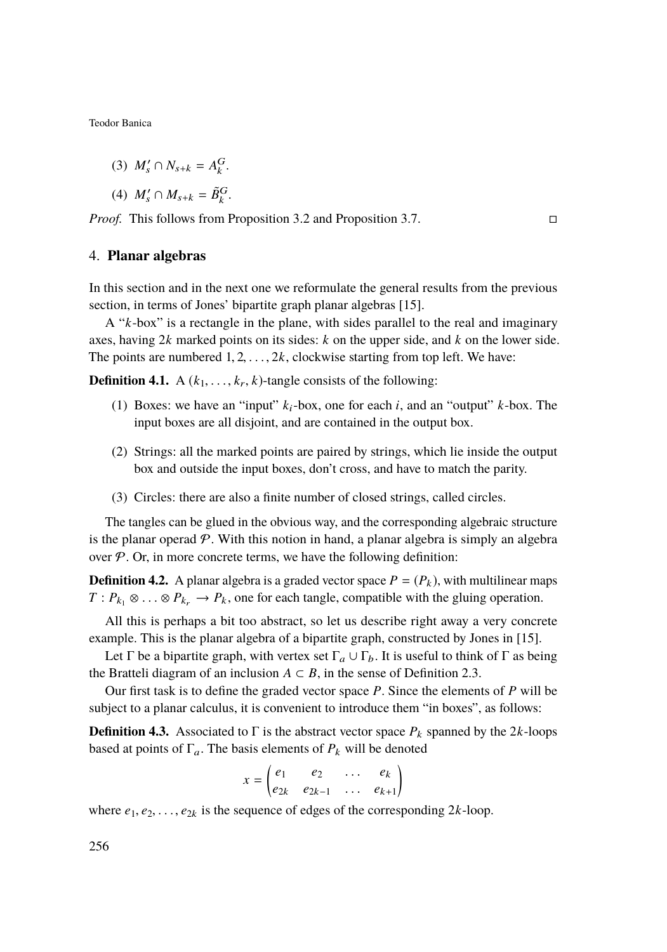$$
(3) M'_{s} \cap N_{s+k} = A_{k}^{G}.
$$

$$
(4) M'_{s} \cap M_{s+k} = \tilde{B}_{k}^{G}.
$$

*Proof.* This follows from Proposition [3.2](#page-7-1) and Proposition [3.7.](#page-9-1)

### <span id="page-10-0"></span>4. **Planar algebras**

In this section and in the next one we reformulate the general results from the previous section, in terms of Jones' bipartite graph planar algebras [\[15\]](#page-17-7).

A "*k*-box" is a rectangle in the plane, with sides parallel to the real and imaginary axes, having 2*k* marked points on its sides: *k* on the upper side, and *k* on the lower side. The points are numbered  $1, 2, \ldots, 2k$ , clockwise starting from top left. We have:

**Definition 4.1.** A  $(k_1, \ldots, k_r, k)$ -tangle consists of the following:

- (1) Boxes: we have an "input" *k*i-box, one for each *i*, and an "output" *k*-box. The input boxes are all disjoint, and are contained in the output box.
- (2) Strings: all the marked points are paired by strings, which lie inside the output box and outside the input boxes, don't cross, and have to match the parity.
- (3) Circles: there are also a finite number of closed strings, called circles.

The tangles can be glued in the obvious way, and the corresponding algebraic structure is the planar operad  $\mathcal P$ . With this notion in hand, a planar algebra is simply an algebra over  $P$ . Or, in more concrete terms, we have the following definition:

**Definition 4.2.** A planar algebra is a graded vector space  $P = (P_k)$ , with multilinear maps *T* :  $P_{k_1}$  ⊗ . . . ⊗  $P_{k_r}$  →  $P_k$ , one for each tangle, compatible with the gluing operation.

All this is perhaps a bit too abstract, so let us describe right away a very concrete example. This is the planar algebra of a bipartite graph, constructed by Jones in [\[15\]](#page-17-7).

Let Γ be a bipartite graph, with vertex set  $\Gamma_a \cup \Gamma_b$ . It is useful to think of Γ as being the Bratteli diagram of an inclusion  $A \subset B$ , in the sense of Definition [2.3.](#page-6-4)

Our first task is to define the graded vector space *P*. Since the elements of *P* will be subject to a planar calculus, it is convenient to introduce them "in boxes", as follows:

**Definition 4.3.** Associated to  $\Gamma$  is the abstract vector space  $P_k$  spanned by the 2*k*-loops based at points of  $\Gamma_a$ . The basis elements of  $P_k$  will be denoted

$$
x = \begin{pmatrix} e_1 & e_2 & \dots & e_k \\ e_{2k} & e_{2k-1} & \dots & e_{k+1} \end{pmatrix}
$$

where  $e_1, e_2, \ldots, e_{2k}$  is the sequence of edges of the corresponding 2*k*-loop.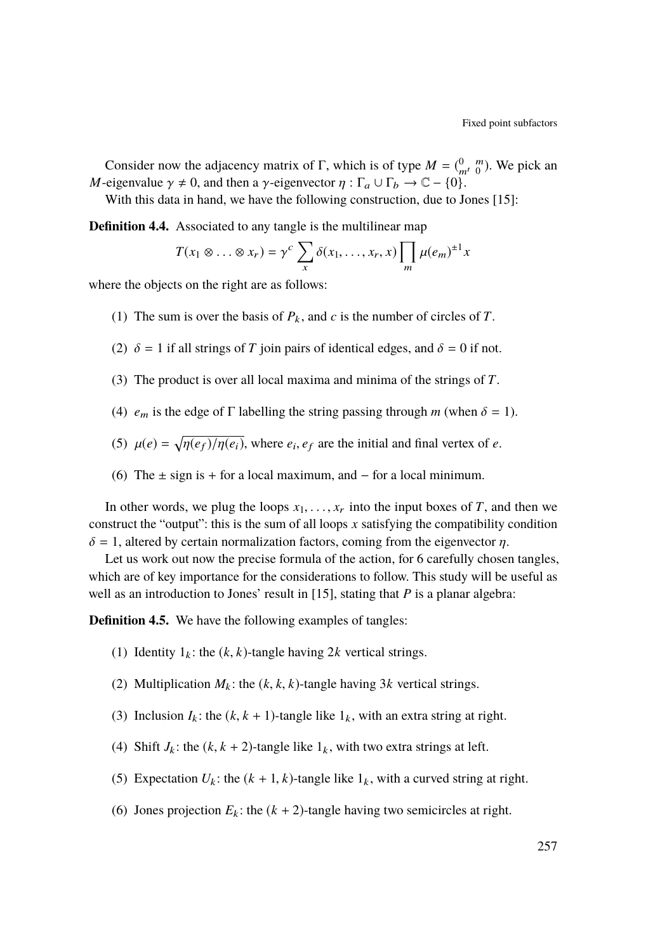Consider now the adjacency matrix of  $\Gamma$ , which is of type  $M = \begin{pmatrix} 0 & m \\ m^t & 0 \end{pmatrix}$ . We pick an *M*-eigenvalue  $\gamma \neq 0$ , and then a  $\gamma$ -eigenvector  $\eta : \Gamma_a \cup \Gamma_b \to \mathbb{C} - \{0\}.$ 

With this data in hand, we have the following construction, due to Jones [\[15\]](#page-17-7):

<span id="page-11-1"></span>**Definition 4.4.** Associated to any tangle is the multilinear map

$$
T(x_1 \otimes \ldots \otimes x_r) = \gamma^c \sum_x \delta(x_1, \ldots, x_r, x) \prod_m \mu(e_m)^{\pm 1} x
$$

where the objects on the right are as follows:

- (1) The sum is over the basis of  $P_k$ , and  $c$  is the number of circles of  $T$ .
- (2)  $\delta = 1$  if all strings of *T* join pairs of identical edges, and  $\delta = 0$  if not.
- (3) The product is over all local maxima and minima of the strings of *T*.
- (4)  $e_m$  is the edge of  $\Gamma$  labelling the string passing through *m* (when  $\delta = 1$ ).
- (5)  $\mu(e) = \sqrt{\eta(e_f)/\eta(e_i)}$ , where  $e_i, e_f$  are the initial and final vertex of *e*.
- (6) The  $\pm$  sign is + for a local maximum, and for a local minimum.

In other words, we plug the loops  $x_1, \ldots, x_r$  into the input boxes of *T*, and then we construct the "output": this is the sum of all loops *x* satisfying the compatibility condition  $\delta = 1$ , altered by certain normalization factors, coming from the eigenvector  $\eta$ .

Let us work out now the precise formula of the action, for 6 carefully chosen tangles, which are of key importance for the considerations to follow. This study will be useful as well as an introduction to Jones' result in [\[15\]](#page-17-7), stating that *P* is a planar algebra:

<span id="page-11-0"></span>**Definition 4.5.** We have the following examples of tangles:

- (1) Identity  $1_k$ : the  $(k, k)$ -tangle having 2k vertical strings.
- (2) Multiplication  $M_k$ : the  $(k, k, k)$ -tangle having 3*k* vertical strings.
- (3) Inclusion  $I_k$ : the  $(k, k + 1)$ -tangle like  $1_k$ , with an extra string at right.
- (4) Shift  $J_k$ : the  $(k, k + 2)$ -tangle like  $1_k$ , with two extra strings at left.
- (5) Expectation  $U_k$ : the  $(k + 1, k)$ -tangle like  $1_k$ , with a curved string at right.
- (6) Jones projection  $E_k$ : the  $(k + 2)$ -tangle having two semicircles at right.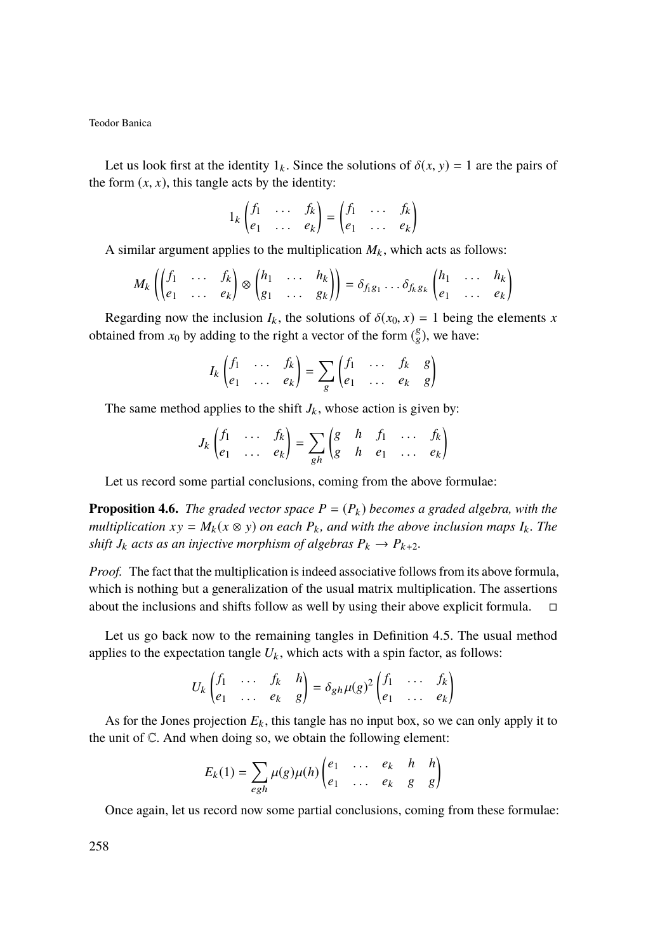Let us look first at the identity  $1_k$ . Since the solutions of  $\delta(x, y) = 1$  are the pairs of the form  $(x, x)$ , this tangle acts by the identity:

$$
1_k \begin{pmatrix} f_1 & \dots & f_k \\ e_1 & \dots & e_k \end{pmatrix} = \begin{pmatrix} f_1 & \dots & f_k \\ e_1 & \dots & e_k \end{pmatrix}
$$

A similar argument applies to the multiplication  $M_k$ , which acts as follows:

$$
M_k \left( \begin{pmatrix} f_1 & \dots & f_k \\ e_1 & \dots & e_k \end{pmatrix} \otimes \begin{pmatrix} h_1 & \dots & h_k \\ g_1 & \dots & g_k \end{pmatrix} \right) = \delta_{f_1 g_1} \dots \delta_{f_k g_k} \begin{pmatrix} h_1 & \dots & h_k \\ e_1 & \dots & e_k \end{pmatrix}
$$

Regarding now the inclusion  $I_k$ , the solutions of  $\delta(x_0, x) = 1$  being the elements *x* obtained from  $x_0$  by adding to the right a vector of the form  $\binom{g}{g}$ , we have:

$$
I_k\begin{pmatrix}f_1 & \cdots & f_k\\e_1 & \cdots & e_k\end{pmatrix}=\sum_g\begin{pmatrix}f_1 & \cdots & f_k & g\\e_1 & \cdots & e_k & g\end{pmatrix}
$$

The same method applies to the shift  $J_k$ , whose action is given by:

$$
J_k\begin{pmatrix}f_1 & \cdots & f_k\\e_1 & \cdots & e_k\end{pmatrix} = \sum_{gh} \begin{pmatrix}g & h & f_1 & \cdots & f_k\\g & h & e_1 & \cdots & e_k\end{pmatrix}
$$

Let us record some partial conclusions, coming from the above formulae:

**Proposition 4.6.** *The graded vector space*  $P = (P_k)$  *becomes a graded algebra, with the multiplication*  $xy = M_k(x \otimes y)$  *on each*  $P_k$ *, and with the above inclusion maps*  $I_k$ *. The shift*  $J_k$  *acts as an injective morphism of algebras*  $P_k \to P_{k+2}$ *.* 

*Proof.* The fact that the multiplication is indeed associative follows from its above formula, which is nothing but a generalization of the usual matrix multiplication. The assertions about the inclusions and shifts follow as well by using their above explicit formula.  $\square$ 

Let us go back now to the remaining tangles in Definition [4.5.](#page-11-0) The usual method applies to the expectation tangle  $U_k$ , which acts with a spin factor, as follows:

$$
U_k \begin{pmatrix} f_1 & \dots & f_k & h \\ e_1 & \dots & e_k & g \end{pmatrix} = \delta_{gh} \mu(g)^2 \begin{pmatrix} f_1 & \dots & f_k \\ e_1 & \dots & e_k \end{pmatrix}
$$

As for the Jones projection  $E_k$ , this tangle has no input box, so we can only apply it to the unit of C. And when doing so, we obtain the following element:

$$
E_k(1) = \sum_{egh} \mu(g)\mu(h) \begin{pmatrix} e_1 & \dots & e_k & h & h \\ e_1 & \dots & e_k & g & g \end{pmatrix}
$$

Once again, let us record now some partial conclusions, coming from these formulae: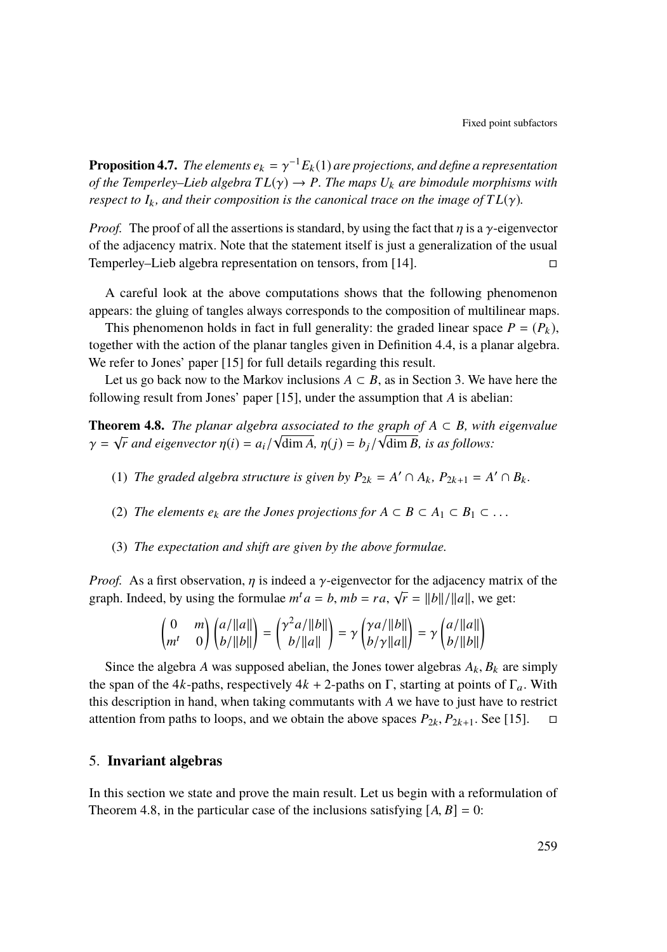**Proposition 4.7.** *The elements*  $e_k = \gamma^{-1} E_k(1)$  *are projections, and define a representation*<br>of the Temperlay, Ligh electra  $TL(\alpha) \rightarrow P$ . The maps  $U_k$  are himodule morphisms with *of the Temperley–Lieb algebra*  $TL(\gamma) \rightarrow P$ *. The maps*  $U_k$  *are bimodule morphisms with respect to*  $I_k$ *, and their composition is the canonical trace on the image of*  $TL(\gamma)$ *.* 

*Proof.* The proof of all the assertions is standard, by using the fact that  $\eta$  is a  $\gamma$ -eigenvector of the adjacency matrix. Note that the statement itself is just a generalization of the usual Temperley–Lieb algebra representation on tensors, from [\[14\]](#page-17-9).

A careful look at the above computations shows that the following phenomenon appears: the gluing of tangles always corresponds to the composition of multilinear maps.

This phenomenon holds in fact in full generality: the graded linear space  $P = (P_k)$ , together with the action of the planar tangles given in Definition [4.4,](#page-11-1) is a planar algebra. We refer to Jones' paper [\[15\]](#page-17-7) for full details regarding this result.

Let us go back now to the Markov inclusions  $A \subset B$ , as in Section [3.](#page-7-0) We have here the following result from Jones' paper [\[15\]](#page-17-7), under the assumption that *A* is abelian:

<span id="page-13-1"></span>**Theorem 4.8.** *The planar algebra associated to the graph of*  $A \subset B$ *, with eigenvalue*  $\gamma = \sqrt{r}$  *and eigenvector*  $\eta(i) = a_i/\sqrt{\dim A}, \eta(j) = b_j/\sqrt{\dim B}$ *, is as follows:* 

- (1) *The graded algebra structure is given by*  $P_{2k} = A' \cap A_k$ ,  $P_{2k+1} = A' \cap B_k$ .
- (2) *The elements*  $e_k$  *are the Jones projections for*  $A \subset B \subset A_1 \subset B_1 \subset \ldots$
- (3) *The expectation and shift are given by the above formulae.*

*Proof.* As a first observation,  $\eta$  is indeed a  $\gamma$ -eigenvector for the adjacency matrix of the graph. Indeed, by using the formulae  $m^t a = b$ ,  $mb = ra$ ,  $\sqrt{r} = ||b||/||a||$ , we get:

$$
\begin{pmatrix} 0 & m \ m^t & 0 \end{pmatrix} \begin{pmatrix} a/\|a\| \\ b/\|b\| \end{pmatrix} = \begin{pmatrix} \gamma^2 a/\|b\| \\ b/\|a\| \end{pmatrix} = \gamma \begin{pmatrix} \gamma a/\|b\| \\ b/\gamma \|a\| \end{pmatrix} = \gamma \begin{pmatrix} a/\|a\| \\ b/\|b\| \end{pmatrix}
$$

Since the algebra *A* was supposed abelian, the Jones tower algebras  $A_k$ ,  $B_k$  are simply the span of the 4*k*-paths, respectively  $4k + 2$ -paths on Γ, starting at points of Γ<sub>a</sub>. With this description in hand, when taking commutants with *A* we have to just have to restrict attention from paths to loops, and we obtain the above spaces  $P_{2k}$ ,  $P_{2k+1}$ . See [\[15\]](#page-17-7).  $\Box$ 

#### <span id="page-13-0"></span>5. **Invariant algebras**

In this section we state and prove the main result. Let us begin with a reformulation of Theorem [4.8,](#page-13-1) in the particular case of the inclusions satisfying  $[A, B] = 0$ :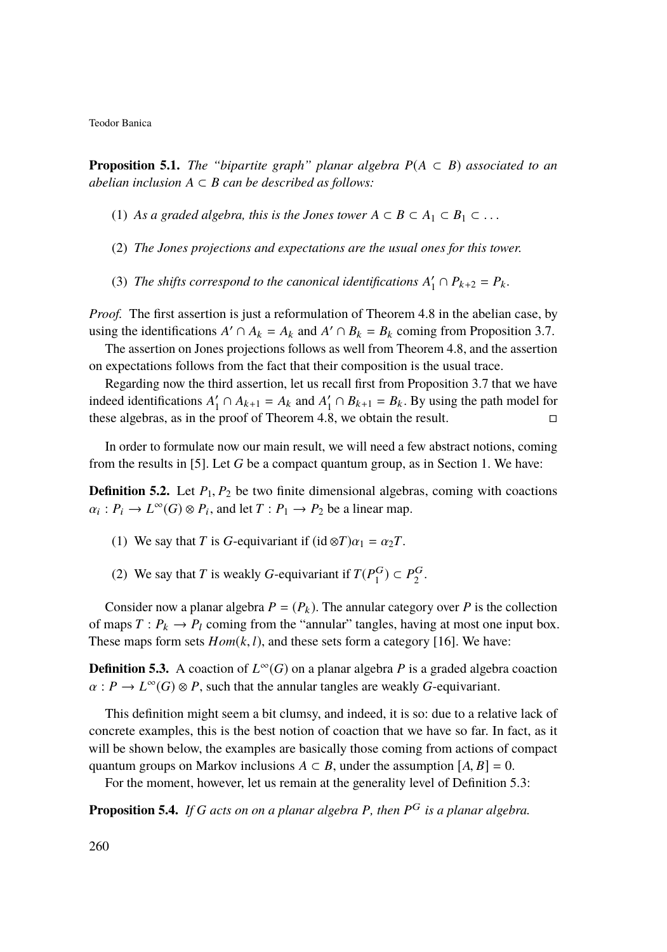<span id="page-14-1"></span>**Proposition 5.1.** *The "bipartite graph" planar algebra*  $P(A \subset B)$  *associated to an abelian inclusion*  $A ⊂ B$  *can be described as follows:* 

- (1) As a graded algebra, this is the Jones tower  $A \subset B \subset A_1 \subset B_1 \subset \ldots$
- (2) *The Jones projections and expectations are the usual ones for this tower.*
- (3) *The shifts correspond to the canonical identifications*  $A'_1 \cap P_{k+2} = P_k$ .

*Proof.* The first assertion is just a reformulation of Theorem [4.8](#page-13-1) in the abelian case, by using the identifications  $A' \cap A_k = A_k$  and  $A' \cap B_k = B_k$  coming from Proposition [3.7.](#page-9-1)

The assertion on Jones projections follows as well from Theorem [4.8,](#page-13-1) and the assertion on expectations follows from the fact that their composition is the usual trace.

Regarding now the third assertion, let us recall first from Proposition [3.7](#page-9-1) that we have indeed identifications  $A'_1 \cap A_{k+1} = A_k$  and  $A'_1 \cap B_{k+1} = B_k$ . By using the path model for these algebras, as in the proof of Theorem [4.8,](#page-13-1) we obtain the result.

In order to formulate now our main result, we will need a few abstract notions, coming from the results in [\[5\]](#page-16-6). Let *G* be a compact quantum group, as in Section [1.](#page-2-3) We have:

**Definition 5.2.** Let  $P_1$ ,  $P_2$  be two finite dimensional algebras, coming with coactions  $\alpha_i : P_i \to L^{\infty}(G) \otimes P_i$ , and let  $T : P_1 \to P_2$  be a linear map.

- (1) We say that *T* is *G*-equivariant if  $(id \otimes T)\alpha_1 = \alpha_2T$ .
- (2) We say that *T* is weakly *G*-equivariant if  $T(P_1^G) \subset P_2^G$ .

Consider now a planar algebra  $P = (P_k)$ . The annular category over *P* is the collection of maps  $T: P_k \to P_l$  coming from the "annular" tangles, having at most one input box. These maps form sets  $Hom(k, l)$ , and these sets form a category [\[16\]](#page-17-10). We have:

<span id="page-14-0"></span>**Definition 5.3.** A coaction of  $L^\infty(G)$  on a planar algebra *P* is a graded algebra coaction  $\alpha: P \to L^{\infty}(G) \otimes P$ , such that the annular tangles are weakly *G*-equivariant.

This definition might seem a bit clumsy, and indeed, it is so: due to a relative lack of concrete examples, this is the best notion of coaction that we have so far. In fact, as it will be shown below, the examples are basically those coming from actions of compact quantum groups on Markov inclusions  $A \subset B$ , under the assumption  $[A, B] = 0$ .

For the moment, however, let us remain at the generality level of Definition [5.3:](#page-14-0)

<span id="page-14-2"></span>**Proposition 5.4.** *If G acts on on a planar algebra P, then P* <sup>G</sup> *is a planar algebra.*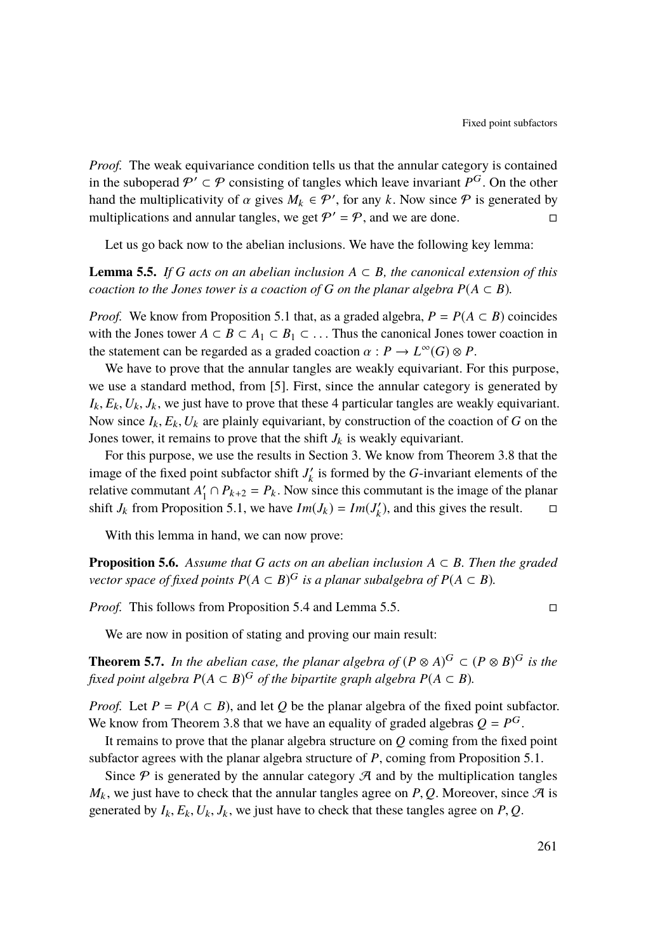*Proof.* The weak equivariance condition tells us that the annular category is contained in the suboperad  $P' \subset P$  consisting of tangles which leave invariant  $P^G$ . On the other hand the multiplicativity of  $\alpha$  gives  $M_k \in \mathcal{P}'$ , for any *k*. Now since  $\mathcal{P}$  is generated by multiplications and annular tangles we get  $\mathcal{P}' = \mathcal{P}$  and we are done. multiplications and annular tangles, we get  $P' = P$ , and we are done.

Let us go back now to the abelian inclusions. We have the following key lemma:

<span id="page-15-0"></span>**Lemma 5.5.** If G acts on an abelian inclusion  $A \subseteq B$ , the canonical extension of this *coaction to the Jones tower is a coaction of*  $G$  *on the planar algebra*  $P(A \subset B)$ *.* 

*Proof.* We know from Proposition [5.1](#page-14-1) that, as a graded algebra,  $P = P(A \subset B)$  coincides with the Jones tower  $A \subset B \subset A_1 \subset B_1 \subset \ldots$  Thus the canonical Jones tower coaction in the statement can be regarded as a graded coaction  $\alpha : P \to L^{\infty}(G) \otimes P$ .<br>We have to prove that the appular tangles are weakly equivariant. Eq.

We have to prove that the annular tangles are weakly equivariant. For this purpose, we use a standard method, from [\[5\]](#page-16-6). First, since the annular category is generated by  $I_k$ ,  $E_k$ ,  $U_k$ ,  $J_k$ , we just have to prove that these 4 particular tangles are weakly equivariant. Now since  $I_k$ ,  $E_k$ ,  $U_k$  are plainly equivariant, by construction of the coaction of *G* on the Jones tower, it remains to prove that the shift  $J_k$  is weakly equivariant.

For this purpose, we use the results in Section [3.](#page-7-0) We know from Theorem [3.8](#page-9-2) that the image of the fixed point subfactor shift  $J'_k$  is formed by the *G*-invariant elements of the relative commutant  $A'_1 \cap P_{k+2} = P_k$ . Now since this commutant is the image of the planar shift *J<sub>k</sub>* from Proposition [5.1,](#page-14-1) we have  $Im(J_k) = Im(J'_k)$ , and this gives the result.  $\square$ 

With this lemma in hand, we can now prove:

**Proposition 5.6.** Assume that G acts on an abelian inclusion  $A \subset B$ . Then the graded *vector space of fixed points*  $P(A \subset B)^G$  *is a planar subalgebra of*  $P(A \subset B)$ *.* 

*Proof.* This follows from Proposition [5.4](#page-14-2) and Lemma [5.5.](#page-15-0) □

We are now in position of stating and proving our main result:

**Theorem 5.7.** *In the abelian case, the planar algebra of*  $(P \otimes A)^G \subset (P \otimes B)^G$  *is the fixed point algebra*  $P(A \subset B)^G$  *of the bipartite graph algebra*  $P(A \subset B)$ *.* 

*Proof.* Let  $P = P(A \subset B)$ , and let  $Q$  be the planar algebra of the fixed point subfactor. We know from Theorem [3.8](#page-9-2) that we have an equality of graded algebras  $Q = P^G$ .

It remains to prove that the planar algebra structure on *Q* coming from the fixed point subfactor agrees with the planar algebra structure of *P*, coming from Proposition [5.1.](#page-14-1)

Since  $P$  is generated by the annular category  $\mathcal A$  and by the multiplication tangles  $M_k$ , we just have to check that the annular tangles agree on *P*, *Q*. Moreover, since  $\mathcal{A}$  is generated by  $I_k$ ,  $E_k$ ,  $U_k$ ,  $J_k$ , we just have to check that these tangles agree on *P*, *Q*.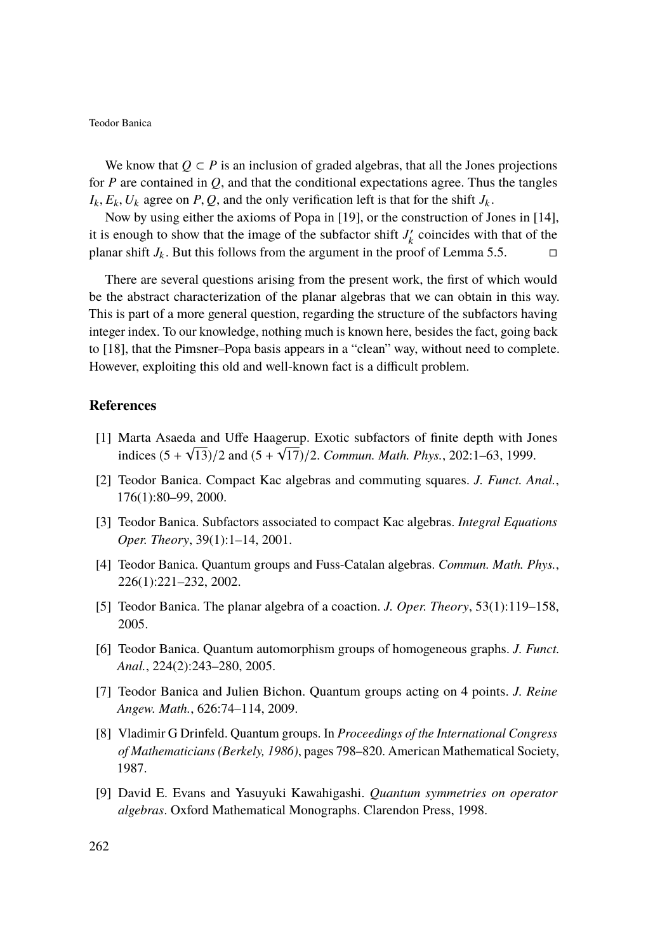We know that  $Q \subset P$  is an inclusion of graded algebras, that all the Jones projections for *P* are contained in *Q*, and that the conditional expectations agree. Thus the tangles  $I_k$ ,  $E_k$ ,  $U_k$  agree on *P*, *Q*, and the only verification left is that for the shift  $J_k$ .

Now by using either the axioms of Popa in [\[19\]](#page-17-11), or the construction of Jones in [\[14\]](#page-17-9), it is enough to show that the image of the subfactor shift  $J'_k$  coincides with that of the planar shift  $J_k$ . But this follows from the argument in the proof of Lemma [5.5.](#page-15-0)

There are several questions arising from the present work, the first of which would be the abstract characterization of the planar algebras that we can obtain in this way. This is part of a more general question, regarding the structure of the subfactors having integer index. To our knowledge, nothing much is known here, besides the fact, going back to [\[18\]](#page-17-12), that the Pimsner–Popa basis appears in a "clean" way, without need to complete. However, exploiting this old and well-known fact is a difficult problem.

#### <span id="page-16-2"></span>**References**

- [1] Marta Asaeda and Uffe Haagerup. Exotic subfactors of finite depth with Jones √ √ indices  $(5 + \sqrt{13})/2$  and  $(5 + \sqrt{17})/2$ . *Commun. Math. Phys.*, 202:1–63, 1999.
- <span id="page-16-4"></span>[2] Teodor Banica. Compact Kac algebras and commuting squares. *J. Funct. Anal.*, 176(1):80–99, 2000.
- <span id="page-16-3"></span>[3] Teodor Banica. Subfactors associated to compact Kac algebras. *Integral Equations Oper. Theory*, 39(1):1–14, 2001.
- <span id="page-16-5"></span>[4] Teodor Banica. Quantum groups and Fuss-Catalan algebras. *Commun. Math. Phys.*, 226(1):221–232, 2002.
- <span id="page-16-6"></span>[5] Teodor Banica. The planar algebra of a coaction. *J. Oper. Theory*, 53(1):119–158, 2005.
- <span id="page-16-7"></span>[6] Teodor Banica. Quantum automorphism groups of homogeneous graphs. *J. Funct. Anal.*, 224(2):243–280, 2005.
- <span id="page-16-8"></span>[7] Teodor Banica and Julien Bichon. Quantum groups acting on 4 points. *J. Reine Angew. Math.*, 626:74–114, 2009.
- <span id="page-16-1"></span>[8] Vladimir G Drinfeld. Quantum groups. In *Proceedings of the International Congress of Mathematicians (Berkely, 1986)*, pages 798–820. American Mathematical Society, 1987.
- <span id="page-16-0"></span>[9] David E. Evans and Yasuyuki Kawahigashi. *Quantum symmetries on operator algebras*. Oxford Mathematical Monographs. Clarendon Press, 1998.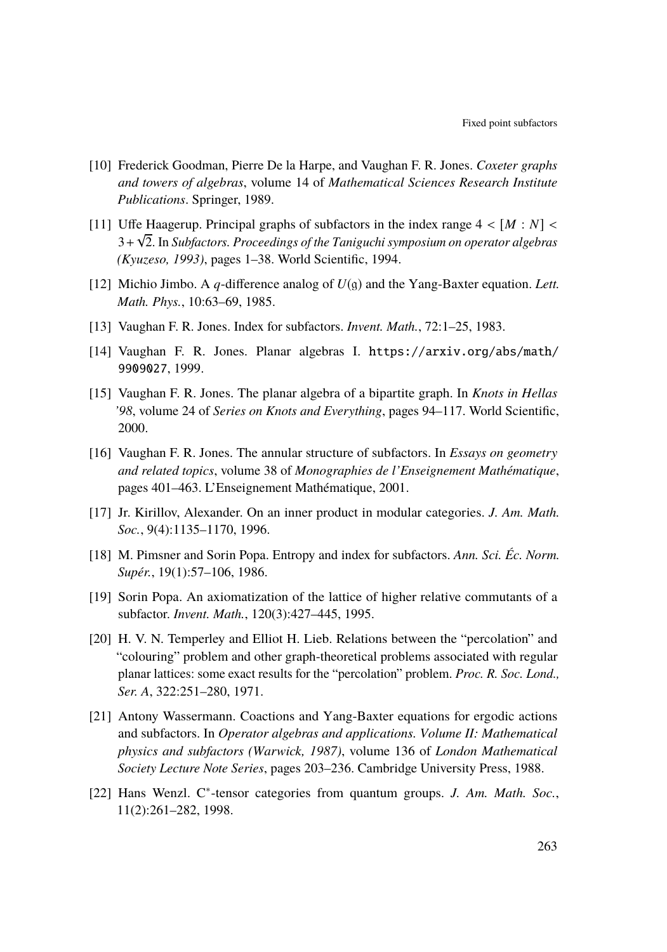- <span id="page-17-8"></span>[10] Frederick Goodman, Pierre De la Harpe, and Vaughan F. R. Jones. *Coxeter graphs and towers of algebras*, volume 14 of *Mathematical Sciences Research Institute Publications*. Springer, 1989.
- <span id="page-17-5"></span>[11] Uffe Haagerup. Principal graphs of subfactors in the index range  $4 < [M : N] <$ <br> $3 + \sqrt{2}$  In Subfactors Proceedings of the Tanjauchi symposium on operator algebras 3+ 2. In *Subfactors. Proceedings of the Taniguchi symposium on operator algebras (Kyuzeso, 1993)*, pages 1–38. World Scientific, 1994.
- <span id="page-17-4"></span>[12] Michio Jimbo. A *q*-difference analog of *U*(g) and the Yang-Baxter equation. *Lett. Math. Phys.*, 10:63–69, 1985.
- <span id="page-17-0"></span>[13] Vaughan F. R. Jones. Index for subfactors. *Invent. Math.*, 72:1–25, 1983.
- <span id="page-17-9"></span>[14] Vaughan F. R. Jones. Planar algebras I. [https://arxiv.org/abs/math/](https://arxiv.org/abs/math/9909027) [9909027](https://arxiv.org/abs/math/9909027), 1999.
- <span id="page-17-7"></span>[15] Vaughan F. R. Jones. The planar algebra of a bipartite graph. In *Knots in Hellas '98*, volume 24 of *Series on Knots and Everything*, pages 94–117. World Scientific, 2000.
- <span id="page-17-10"></span>[16] Vaughan F. R. Jones. The annular structure of subfactors. In *Essays on geometry and related topics*, volume 38 of *Monographies de l'Enseignement Mathématique*, pages 401–463. L'Enseignement Mathématique, 2001.
- <span id="page-17-3"></span>[17] Jr. Kirillov, Alexander. On an inner product in modular categories. *J. Am. Math. Soc.*, 9(4):1135–1170, 1996.
- <span id="page-17-12"></span>[18] M. Pimsner and Sorin Popa. Entropy and index for subfactors. *Ann. Sci. Éc. Norm. Supér.*, 19(1):57–106, 1986.
- <span id="page-17-11"></span>[19] Sorin Popa. An axiomatization of the lattice of higher relative commutants of a subfactor. *Invent. Math.*, 120(3):427–445, 1995.
- <span id="page-17-1"></span>[20] H. V. N. Temperley and Elliot H. Lieb. Relations between the "percolation" and "colouring" problem and other graph-theoretical problems associated with regular planar lattices: some exact results for the "percolation" problem. *Proc. R. Soc. Lond., Ser. A*, 322:251–280, 1971.
- <span id="page-17-6"></span>[21] Antony Wassermann. Coactions and Yang-Baxter equations for ergodic actions and subfactors. In *Operator algebras and applications. Volume II: Mathematical physics and subfactors (Warwick, 1987)*, volume 136 of *London Mathematical Society Lecture Note Series*, pages 203–236. Cambridge University Press, 1988.
- <span id="page-17-2"></span>[22] Hans Wenzl. C<sup>\*</sup>-tensor categories from quantum groups. *J. Am. Math. Soc.*, 11(2):261–282, 1998.